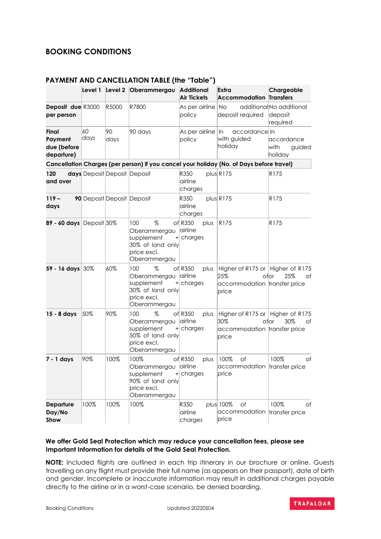# **BOOKING CONDITIONS**

|                                               |            |                                     | Level 1 Level 2 Oberammergau Additional                                                       | <b>Air Tickets</b>                           | Extra<br><b>Accommodation Transfers</b>                                                  | Chargeable                                     |
|-----------------------------------------------|------------|-------------------------------------|-----------------------------------------------------------------------------------------------|----------------------------------------------|------------------------------------------------------------------------------------------|------------------------------------------------|
| Deposit due R3000<br>per person               |            | R5000                               | R7800                                                                                         | As per airline No<br>policy                  | deposit required                                                                         | additionalNo additional<br>deposit<br>required |
| Final<br>Payment<br>due (before<br>departure) | 60<br>days | 90<br>days                          | 90 days                                                                                       | As per airline   In<br>policy                | accordance In<br>with guided<br>holiday                                                  | accordance<br>with<br>guided<br>holiday        |
|                                               |            |                                     |                                                                                               |                                              | Cancellation Charges (per person) if you cancel your holiday (No. of Days before travel) |                                                |
| 120<br>and over                               |            | <b>days</b> Deposit Deposit Deposit |                                                                                               | R350<br><b>airline</b><br>charges            | $plus$ R175                                                                              | R175                                           |
| $119 -$<br>days                               |            | 90 Deposit Deposit Deposit          |                                                                                               | R350<br>airline<br>charges                   | plus R175                                                                                | R175                                           |
| $89 - 60$ days Deposit 30%                    |            |                                     | $\%$<br>100<br>Oberammergau<br>supplement<br>30% of land only<br>price excl.<br>Oberammergau  | of R350<br>plus<br>cirline<br>$+ $ charges   | R175                                                                                     | R175                                           |
| 59 - 16 days 30%                              |            | 60%                                 | $\%$<br>100<br>Oberammergau<br>supplement<br>30% of land only<br>price excl.<br>Oberammergau  | $of$ R350<br>plus<br>airline<br>$+ $ charges | Higher of R175 or Higher of R175<br>25%<br>accommodation transfer price<br>price         | 25%<br>of<br>oflor                             |
| 15 - 8 days                                   | 50%        | 90%                                 | 100<br>$\%$<br>Oberammergau<br>supplement<br>50% of land only<br>price excl.<br>Oberammergau  | of $R350$<br>plus<br>airline<br>$+ $ charges | Higher of R175 or Higher of R175<br>30%<br>accommodation transfer price<br>price         | 30%<br>of<br>oflor                             |
| $7 - 1$ days                                  | 90%        | 100%                                | 100%<br>Oberammergau airline<br>supplement<br>90% of land only<br>price excl.<br>Oberammergau | $of$ R350<br>plus<br>$+ $ charges            | 100%<br>of<br>accommodation transfer price<br>price                                      | 100%<br>of                                     |
| <b>Departure</b><br>Day/No<br>Show            | 100%       | 100%                                | 100%                                                                                          | R350<br>airline<br>charges                   | plus 100%<br>of<br>accommodation transfer price<br>price                                 | 100%<br>Оf                                     |

# **PAYMENT AND CANCELLATION TABLE (the "Table")**

## **We offer Gold Seal Protection which may reduce your cancellation fees, please see Important Information for details of the Gold Seal Protection.**

**NOTE:** Included flights are outlined in each trip itinerary in our brochure or online. Guests travelling on any flight must provide their full name (as appears on their passport), date of birth and gender. Incomplete or inaccurate information may result in additional charges payable directly to the airline or in a worst-case scenario, be denied boarding.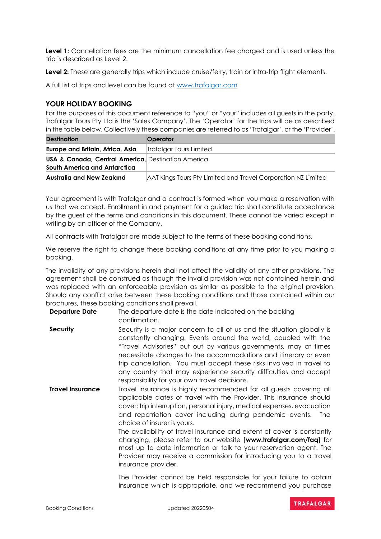**Level 1:** Cancellation fees are the minimum cancellation fee charged and is used unless the trip is described as Level 2.

**Level 2:** These are generally trips which include cruise/ferry, train or intra-trip flight elements.

A full list of trips and level can be found at [www.trafalgar.com](https://www.trafalgar.com/levels-table)

#### **YOUR HOLIDAY BOOKING**

For the purposes of this document reference to "you" or "your" includes all guests in the party. Trafalgar Tours Pty Ltd is the 'Sales Company'. The 'Operator' for the trips will be as described in the table below. Collectively these companies are referred to as 'Trafalgar', or the 'Provider'.

| <b>Destination</b>                                            | Operator                                                      |
|---------------------------------------------------------------|---------------------------------------------------------------|
| Europe and Britain, Africa, Asia                              | Trafalgar Tours Limited                                       |
| <b>USA &amp; Canada, Central America, Destination America</b> |                                                               |
| South America and Antarctica                                  |                                                               |
| <b>Australia and New Zealand</b>                              | AAT Kings Tours Pty Limited and Travel Corporation NZ Limited |

Your agreement is with Trafalgar and a contract is formed when you make a reservation with us that we accept. Enrollment in and payment for a guided trip shall constitute acceptance by the guest of the terms and conditions in this document. These cannot be varied except in writing by an officer of the Company.

All contracts with Trafalgar are made subject to the terms of these booking conditions.

We reserve the right to change these booking conditions at any time prior to you making a booking.

The invalidity of any provisions herein shall not affect the validity of any other provisions. The agreement shall be construed as though the invalid provision was not contained herein and was replaced with an enforceable provision as similar as possible to the original provision. Should any conflict arise between these booking conditions and those contained within our brochures, these booking conditions shall prevail.

| <b>Departure Date</b>   | The departure date is the date indicated on the booking<br>confirmation.                                                                                                                                                                                                                                                                                                                                                                                                                                                                                                                                                             |
|-------------------------|--------------------------------------------------------------------------------------------------------------------------------------------------------------------------------------------------------------------------------------------------------------------------------------------------------------------------------------------------------------------------------------------------------------------------------------------------------------------------------------------------------------------------------------------------------------------------------------------------------------------------------------|
| <b>Security</b>         | Security is a major concern to all of us and the situation globally is<br>constantly changing. Events around the world, coupled with the<br>"Travel Advisories" put out by various governments, may at times<br>necessitate changes to the accommodations and itinerary or even<br>trip cancellation. You must accept these risks involved in travel to<br>any country that may experience security difficulties and accept<br>responsibility for your own travel decisions.                                                                                                                                                         |
| <b>Travel Insurance</b> | Travel insurance is highly recommended for all guests covering all<br>applicable dates of travel with the Provider. This insurance should<br>cover: trip interruption, personal injury, medical expenses, evacuation<br>and repatriation cover including during pandemic events. The<br>choice of insurer is yours.<br>The availability of travel insurance and extent of cover is constantly<br>changing, please refer to our website [www.trafalgar.com/faq] for<br>most up to date information or talk to your reservation agent. The<br>Provider may receive a commission for introducing you to a travel<br>insurance provider. |
|                         | The Provider cannot be held responsible for your failure to obtain                                                                                                                                                                                                                                                                                                                                                                                                                                                                                                                                                                   |

The Provider cannot be held responsible for your failure to obtain insurance which is appropriate, and we recommend you purchase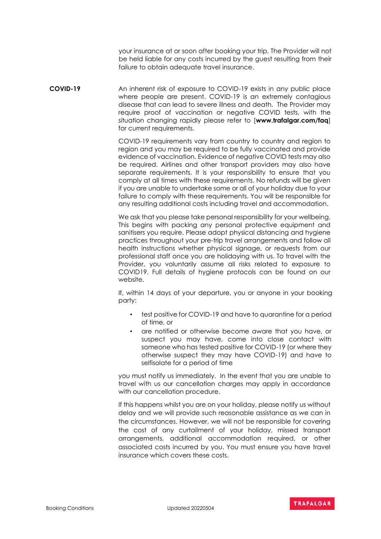your insurance at or soon after booking your trip. The Provider will not be held liable for any costs incurred by the guest resulting from their failure to obtain adequate travel insurance.

**COVID-19** An inherent risk of exposure to COVID-19 exists in any public place where people are present. COVID-19 is an extremely contagious disease that can lead to severe illness and death. The Provider may require proof of vaccination or negative COVID tests, with the situation changing rapidly please refer to [**www.trafalgar.com/faq**] for current requirements.

> COVID-19 requirements vary from country to country and region to region and you may be required to be fully vaccinated and provide evidence of vaccination. Evidence of negative COVID tests may also be required. Airlines and other transport providers may also have separate requirements. It is your responsibility to ensure that you comply at all times with these requirements. No refunds will be given if you are unable to undertake some or all of your holiday due to your failure to comply with these requirements. You will be responsible for any resulting additional costs including travel and accommodation.

> We ask that you please take personal responsibility for your wellbeing. This begins with packing any personal protective equipment and sanitisers you require. Please adopt physical distancing and hygiene practices throughout your pre-trip travel arrangements and follow all health instructions whether physical signage, or requests from our professional staff once you are holidaying with us. To travel with the Provider, you voluntarily assume all risks related to exposure to COVID19. Full details of hygiene protocols can be found on our website.

> If, within 14 days of your departure, you or anyone in your booking party:

- test positive for COVID-19 and have to quarantine for a period of time, or
- are notified or otherwise become aware that you have, or suspect you may have, come into close contact with someone who has tested positive for COVID-19 (or where they otherwise suspect they may have COVID-19) and have to selfisolate for a period of time

you must notify us immediately. In the event that you are unable to travel with us our cancellation charges may apply in accordance with our cancellation procedure.

If this happens whilst you are on your holiday, please notify us without delay and we will provide such reasonable assistance as we can in the circumstances. However, we will not be responsible for covering the cost of any curtailment of your holiday, missed transport arrangements, additional accommodation required, or other associated costs incurred by you. You must ensure you have travel insurance which covers these costs.



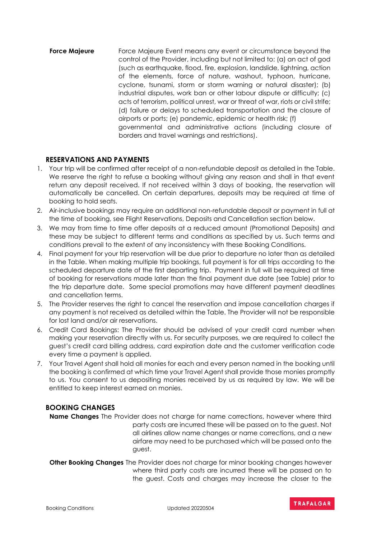**Force Majeure** Force Majeure Event means any event or circumstance beyond the control of the Provider, including but not limited to: (a) an act of god (such as earthquake, flood, fire, explosion, landslide, lightning, action of the elements, force of nature, washout, typhoon, hurricane, cyclone, tsunami, storm or storm warning or natural disaster); (b) industrial disputes, work ban or other labour dispute or difficulty; (c) acts of terrorism, political unrest, war or threat of war, riots or civil strife; (d) failure or delays to scheduled transportation and the closure of airports or ports; (e) pandemic, epidemic or health risk; (f) governmental and administrative actions (including closure of borders and travel warnings and restrictions).

## **RESERVATIONS AND PAYMENTS**

- 1. Your trip will be confirmed after receipt of a non-refundable deposit as detailed in the Table. We reserve the right to refuse a booking without giving any reason and shall in that event return any deposit received. If not received within 3 days of booking, the reservation will automatically be cancelled. On certain departures, deposits may be required at time of booking to hold seats.
- 2. Air-inclusive bookings may require an additional non-refundable deposit or payment in full at the time of booking, see Flight Reservations, Deposits and Cancellation section below.
- 3. We may from time to time offer deposits at a reduced amount (Promotional Deposits) and these may be subject to different terms and conditions as specified by us. Such terms and conditions prevail to the extent of any inconsistency with these Booking Conditions.
- 4. Final payment for your trip reservation will be due prior to departure no later than as detailed in the Table. When making multiple trip bookings, full payment is for all trips according to the scheduled departure date of the first departing trip. Payment in full will be required at time of booking for reservations made later than the final payment due date (see Table) prior to the trip departure date. Some special promotions may have different payment deadlines and cancellation terms.
- 5. The Provider reserves the right to cancel the reservation and impose cancellation charges if any payment is not received as detailed within the Table. The Provider will not be responsible for lost land and/or air reservations.
- 6. Credit Card Bookings: The Provider should be advised of your credit card number when making your reservation directly with us. For security purposes, we are required to collect the guest's credit card billing address, card expiration date and the customer verification code every time a payment is applied.
- 7. Your Travel Agent shall hold all monies for each and every person named in the booking until the booking is confirmed at which time your Travel Agent shall provide those monies promptly to us. You consent to us depositing monies received by us as required by law. We will be entitled to keep interest earned on monies.

#### **BOOKING CHANGES**

**Name Changes** The Provider does not charge for name corrections, however where third party costs are incurred these will be passed on to the guest. Not all airlines allow name changes or name corrections, and a new airfare may need to be purchased which will be passed onto the guest.

**Other Booking Changes** The Provider does not charge for minor booking changes however where third party costs are incurred these will be passed on to the guest. Costs and charges may increase the closer to the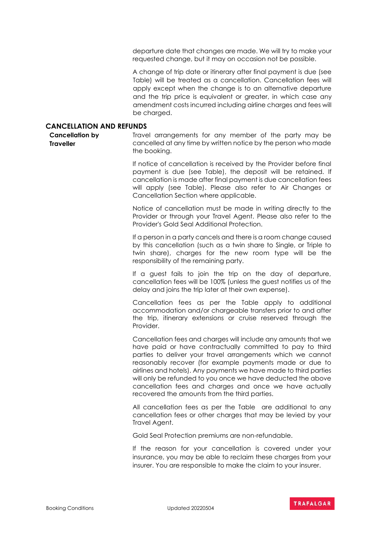departure date that changes are made. We will try to make your requested change, but it may on occasion not be possible.

A change of trip date or itinerary after final payment is due (see Table) will be treated as a cancellation. Cancellation fees will apply except when the change is to an alternative departure and the trip price is equivalent or greater, in which case any amendment costs incurred including airline charges and fees will be charged.

#### **CANCELLATION AND REFUNDS**

**Cancellation by Traveller**  Travel arrangements for any member of the party may be cancelled at any time by written notice by the person who made the booking.

> If notice of cancellation is received by the Provider before final payment is due (see Table), the deposit will be retained. If cancellation is made after final payment is due cancellation fees will apply (see Table). Please also refer to Air Changes or Cancellation Section where applicable.

> Notice of cancellation must be made in writing directly to the Provider or through your Travel Agent. Please also refer to the Provider's Gold Seal Additional Protection.

> If a person in a party cancels and there is a room change caused by this cancellation (such as a twin share to Single, or Triple to twin share), charges for the new room type will be the responsibility of the remaining party.

> If a guest fails to join the trip on the day of departure, cancellation fees will be 100% (unless the guest notifies us of the delay and joins the trip later at their own expense).

> Cancellation fees as per the Table apply to additional accommodation and/or chargeable transfers prior to and after the trip, itinerary extensions or cruise reserved through the Provider.

> Cancellation fees and charges will include any amounts that we have paid or have contractually committed to pay to third parties to deliver your travel arrangements which we cannot reasonably recover (for example payments made or due to airlines and hotels). Any payments we have made to third parties will only be refunded to you once we have deducted the above cancellation fees and charges and once we have actually recovered the amounts from the third parties.

> All cancellation fees as per the Table are additional to any cancellation fees or other charges that may be levied by your Travel Agent.

Gold Seal Protection premiums are non-refundable.

If the reason for your cancellation is covered under your insurance, you may be able to reclaim these charges from your insurer. You are responsible to make the claim to your insurer.

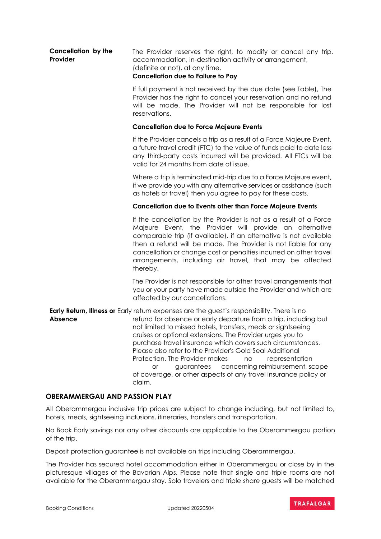| Cancellation by the<br>Provider      | The Provider reserves the right, to modify or cancel any trip,<br>accommodation, in-destination activity or arrangement,<br>(definite or not), at any time.<br><b>Cancellation due to Failure to Pay</b>                                                                                                                                                                                                                                                                                                                                                                                                                    |
|--------------------------------------|-----------------------------------------------------------------------------------------------------------------------------------------------------------------------------------------------------------------------------------------------------------------------------------------------------------------------------------------------------------------------------------------------------------------------------------------------------------------------------------------------------------------------------------------------------------------------------------------------------------------------------|
|                                      | If full payment is not received by the due date (see Table), The<br>Provider has the right to cancel your reservation and no refund<br>will be made. The Provider will not be responsible for lost<br>reservations.                                                                                                                                                                                                                                                                                                                                                                                                         |
|                                      | <b>Cancellation due to Force Majeure Events</b>                                                                                                                                                                                                                                                                                                                                                                                                                                                                                                                                                                             |
|                                      | If the Provider cancels a trip as a result of a Force Majeure Event,<br>a future travel credit (FTC) to the value of funds paid to date less<br>any third-party costs incurred will be provided. All FTCs will be<br>valid for 24 months from date of issue.                                                                                                                                                                                                                                                                                                                                                                |
|                                      | Where a trip is terminated mid-trip due to a Force Majeure event,<br>if we provide you with any alternative services or assistance (such<br>as hotels or travel) then you agree to pay for these costs.                                                                                                                                                                                                                                                                                                                                                                                                                     |
|                                      | <b>Cancellation due to Events other than Force Majeure Events</b>                                                                                                                                                                                                                                                                                                                                                                                                                                                                                                                                                           |
|                                      | If the cancellation by the Provider is not as a result of a Force<br>Majeure Event, the Provider will provide an alternative<br>comparable trip (if available), if an alternative is not available<br>then a refund will be made. The Provider is not liable for any<br>cancellation or change cost or penalties incurred on other travel<br>arrangements, including air travel, that may be affected<br>thereby.                                                                                                                                                                                                           |
|                                      | The Provider is not responsible for other travel arrangements that<br>you or your party have made outside the Provider and which are<br>affected by our cancellations.                                                                                                                                                                                                                                                                                                                                                                                                                                                      |
| <b>Absence</b>                       | <b>Early Return, Illness or</b> Early return expenses are the guest's responsibility. There is no<br>refund for absence or early departure from a trip, including but<br>not limited to missed hotels, transfers, meals or sightseeing<br>cruises or optional extensions. The Provider urges you to<br>purchase travel insurance which covers such circumstances.<br>Please also refer to the Provider's Gold Seal Additional<br>Protection. The Provider makes<br>representation<br>no<br>guarantees<br>concerning reimbursement, scope<br>or<br>of coverage, or other aspects of any travel insurance policy or<br>claim. |
| <b>OBERAMMERGAU AND PASSION PLAY</b> |                                                                                                                                                                                                                                                                                                                                                                                                                                                                                                                                                                                                                             |
|                                      | All Oberammergau inclusive trip prices are subject to change including, but not limited to,<br>hotels, meals, sightseeing inclusions, itineraries, transfers and transportation.                                                                                                                                                                                                                                                                                                                                                                                                                                            |

No Book Early savings nor any other discounts are applicable to the Oberammergau portion of the trip.

Deposit protection guarantee is not available on trips including Oberammergau.

The Provider has secured hotel accommodation either in Oberammergau or close by in the picturesque villages of the Bavarian Alps. Please note that single and triple rooms are not available for the Oberammergau stay. Solo travelers and triple share guests will be matched

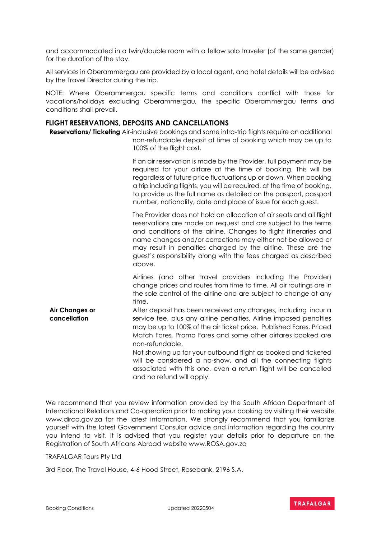and accommodated in a twin/double room with a fellow solo traveler (of the same gender) for the duration of the stay.

All services in Oberammergau are provided by a local agent, and hotel details will be advised by the Travel Director during the trip.

NOTE: Where Oberammergau specific terms and conditions conflict with those for vacations/holidays excluding Oberammergau, the specific Oberammergau terms and conditions shall prevail.

#### **FLIGHT RESERVATIONS, DEPOSITS AND CANCELLATIONS**

**Reservations/ Ticketing** Air-inclusive bookings and some intra-trip flights require an additional non-refundable deposit at time of booking which may be up to 100% of the flight cost.

> If an air reservation is made by the Provider, full payment may be required for your airfare at the time of booking. This will be regardless of future price fluctuations up or down. When booking a trip including flights, you will be required, at the time of booking, to provide us the full name as detailed on the passport, passport number, nationality, date and place of issue for each guest.

> The Provider does not hold an allocation of air seats and all flight reservations are made on request and are subject to the terms and conditions of the airline. Changes to flight itineraries and name changes and/or corrections may either not be allowed or may result in penalties charged by the airline. These are the guest's responsibility along with the fees charged as described above.

> Airlines (and other travel providers including the Provider) change prices and routes from time to time. All air routings are in the sole control of the airline and are subject to change at any time.

**Air Changes or cancellation** After deposit has been received any changes, including incur a service fee, plus any airline penalties. Airline imposed penalties may be up to 100% of the air ticket price. Published Fares, Priced Match Fares, Promo Fares and some other airfares booked are non-refundable. Not showing up for your outbound flight as booked and ticketed

will be considered a no-show, and all the connecting flights associated with this one, even a return flight will be cancelled and no refund will apply.

We recommend that you review information provided by the South African Department of International Relations and Co-operation prior to making your booking by visiting their website www.dirco.gov.za for the latest information. We strongly recommend that you familiarize yourself with the latest Government Consular advice and information regarding the country you intend to visit. It is advised that you register your details prior to departure on the Registration of South Africans Abroad website www.ROSA.gov.za

#### TRAFALGAR Tours Pty Ltd

3rd Floor, The Travel House, 4-6 Hood Street, Rosebank, 2196 S.A.

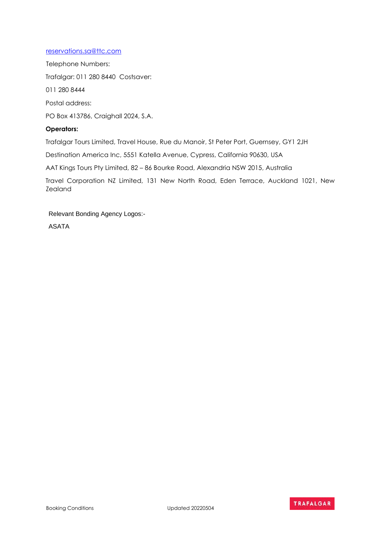#### reservations.sa@ttc.com

Telephone Numbers: Trafalgar: 011 280 8440 Costsaver: 011 280 8444 Postal address: PO Box 413786, Craighall 2024, S.A. **Operators:** 

Trafalgar Tours Limited, Travel House, Rue du Manoir, St Peter Port, Guernsey, GY1 2JH

Destination America Inc, 5551 Katella Avenue, Cypress, California 90630, USA

AAT Kings Tours Pty Limited, 82 – 86 Bourke Road, Alexandria NSW 2015, Australia

Travel Corporation NZ Limited, 131 New North Road, Eden Terrace, Auckland 1021, New Zealand

Relevant Bonding Agency Logos:- ASATA

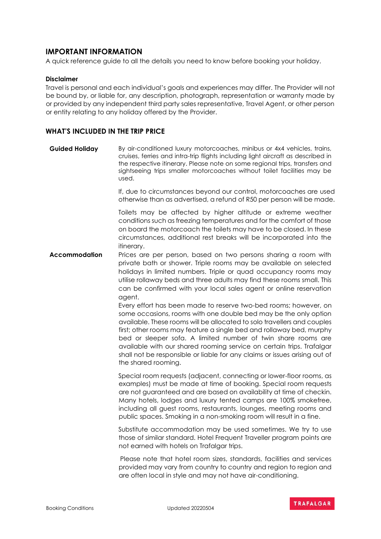## **IMPORTANT INFORMATION**

A quick reference guide to all the details you need to know before booking your holiday.

#### **Disclaimer**

Travel is personal and each individual's goals and experiences may differ. The Provider will not be bound by, or liable for, any description, photograph, representation or warranty made by or provided by any independent third party sales representative, Travel Agent, or other person or entity relating to any holiday offered by the Provider.

## **WHAT'S INCLUDED IN THE TRIP PRICE**

**Guided Holiday** By air-conditioned luxury motorcoaches, minibus or 4x4 vehicles, trains, cruises, ferries and intra-trip flights including light aircraft as described in the respective itinerary. Please note on some regional trips, transfers and sightseeing trips smaller motorcoaches without toilet facilities may be used.

> If, due to circumstances beyond our control, motorcoaches are used otherwise than as advertised, a refund of R50 per person will be made.

Toilets may be affected by higher altitude or extreme weather conditions such as freezing temperatures and for the comfort of those on board the motorcoach the toilets may have to be closed. In these circumstances, additional rest breaks will be incorporated into the itinerary.

**Accommodation** Prices are per person, based on two persons sharing a room with private bath or shower. Triple rooms may be available on selected holidays in limited numbers. Triple or quad occupancy rooms may utilise rollaway beds and three adults may find these rooms small. This can be confirmed with your local sales agent or online reservation agent.

> Every effort has been made to reserve two-bed rooms; however, on some occasions, rooms with one double bed may be the only option available. These rooms will be allocated to solo travellers and couples first; other rooms may feature a single bed and rollaway bed, murphy bed or sleeper sofa. A limited number of twin share rooms are available with our shared rooming service on certain trips. Trafalgar shall not be responsible or liable for any claims or issues arising out of the shared rooming.

> Special room requests (adjacent, connecting or lower-floor rooms, as examples) must be made at time of booking. Special room requests are not guaranteed and are based on availability at time of checkin. Many hotels, lodges and luxury tented camps are 100% smokefree, including all guest rooms, restaurants, lounges, meeting rooms and public spaces. Smoking in a non-smoking room will result in a fine.

> Substitute accommodation may be used sometimes. We try to use those of similar standard. Hotel Frequent Traveller program points are not earned with hotels on Trafalgar trips.

> Please note that hotel room sizes, standards, facilities and services provided may vary from country to country and region to region and are often local in style and may not have air-conditioning.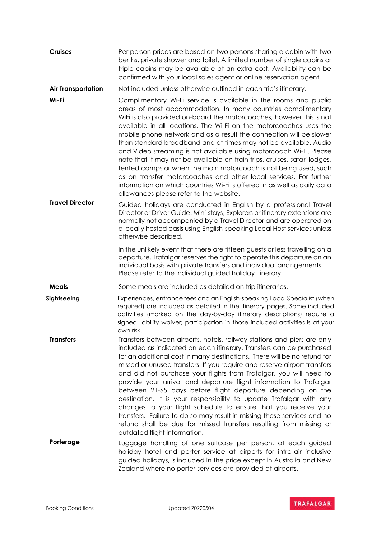| <b>Cruises</b>            | Per person prices are based on two persons sharing a cabin with two<br>berths, private shower and toilet. A limited number of single cabins or<br>triple cabins may be available at an extra cost. Availability can be<br>confirmed with your local sales agent or online reservation agent.                                                                                                                                                                                                                                                                                                                                                                                                                                                                                                                                                 |
|---------------------------|----------------------------------------------------------------------------------------------------------------------------------------------------------------------------------------------------------------------------------------------------------------------------------------------------------------------------------------------------------------------------------------------------------------------------------------------------------------------------------------------------------------------------------------------------------------------------------------------------------------------------------------------------------------------------------------------------------------------------------------------------------------------------------------------------------------------------------------------|
| <b>Air Transportation</b> | Not included unless otherwise outlined in each trip's itinerary.                                                                                                                                                                                                                                                                                                                                                                                                                                                                                                                                                                                                                                                                                                                                                                             |
| Wi-Fi                     | Complimentary Wi-Fi service is available in the rooms and public<br>areas of most accommodation. In many countries complimentary<br>WiFi is also provided on-board the motorcoaches, however this is not<br>available in all locations. The Wi-Fi on the motorcoaches uses the<br>mobile phone network and as a result the connection will be slower<br>than standard broadband and at times may not be available. Audio<br>and Video streaming is not available using motorcoach Wi-Fi. Please<br>note that it may not be available on train trips, cruises, safari lodges,<br>tented camps or when the main motorcoach is not being used, such<br>as on transfer motorcoaches and other local services. For further<br>information on which countries Wi-Fi is offered in as well as daily data<br>allowances please refer to the website. |
| <b>Travel Director</b>    | Guided holidays are conducted in English by a professional Travel<br>Director or Driver Guide. Mini-stays, Explorers or itinerary extensions are<br>normally not accompanied by a Travel Director and are operated on<br>a locally hosted basis using English-speaking Local Host services unless<br>otherwise described.                                                                                                                                                                                                                                                                                                                                                                                                                                                                                                                    |
|                           | In the unlikely event that there are fifteen guests or less travelling on a<br>departure, Trafalgar reserves the right to operate this departure on an<br>individual basis with private transfers and individual arrangements.<br>Please refer to the individual guided holiday itinerary.                                                                                                                                                                                                                                                                                                                                                                                                                                                                                                                                                   |
| <b>Meals</b>              | Some meals are included as detailed on trip itineraries.                                                                                                                                                                                                                                                                                                                                                                                                                                                                                                                                                                                                                                                                                                                                                                                     |
| Sightseeing               | Experiences, entrance fees and an English-speaking Local Specialist (when<br>required) are included as detailed in the itinerary pages. Some included<br>activities (marked on the day-by-day itinerary descriptions) require a<br>signed liability waiver; participation in those included activities is at your<br>own risk.                                                                                                                                                                                                                                                                                                                                                                                                                                                                                                               |
| <b>Transfers</b>          | Transfers between airports, hotels, railway stations and piers are only<br>included as indicated on each itinerary. Transfers can be purchased<br>for an additional cost in many destinations. There will be no refund for<br>missed or unused transfers. If you require and reserve airport transfers<br>and did not purchase your flights from Trafalgar, you will need to<br>provide your arrival and departure flight information to Trafalgar<br>between 21-65 days before flight departure depending on the<br>destination. It is your responsibility to update Trafalgar with any<br>changes to your flight schedule to ensure that you receive your<br>transfers. Failure to do so may result in missing these services and no<br>refund shall be due for missed transfers resulting from missing or<br>outdated flight information. |
| Porterage                 | Luggage handling of one suitcase per person, at each guided<br>holiday hotel and porter service at airports for intra-air inclusive<br>guided holidays, is included in the price except in Australia and New<br>Zealand where no porter services are provided at airports.                                                                                                                                                                                                                                                                                                                                                                                                                                                                                                                                                                   |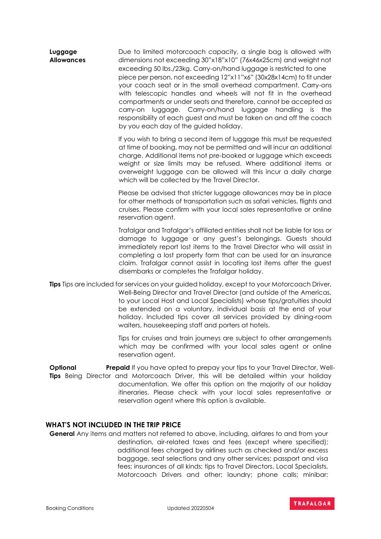**Luggage Allowances**  Due to limited motorcoach capacity, a single bag is allowed with dimensions not exceeding 30"x18"x10" (76x46x25cm) and weight not exceeding 50 lbs./23kg. Carry-on/hand luggage is restricted to one piece per person, not exceeding 12"x11"x6" (30x28x14cm) to fit under your coach seat or in the small overhead compartment. Carry-ons with telescopic handles and wheels will not fit in the overhead compartments or under seats and therefore, cannot be accepted as carry-on luggage. Carry-on/hand luggage handling is the responsibility of each guest and must be taken on and off the coach by you each day of the guided holiday.

> If you wish to bring a second item of luggage this must be requested at time of booking, may not be permitted and will incur an additional charge. Additional items not pre-booked or luggage which exceeds weight or size limits may be refused. Where additional items or overweight luggage can be allowed will this incur a daily charge which will be collected by the Travel Director.

> Please be advised that stricter luggage allowances may be in place for other methods of transportation such as safari vehicles, flights and cruises. Please confirm with your local sales representative or online reservation agent.

> Trafalgar and Trafalgar's affiliated entities shall not be liable for loss or damage to luggage or any guest's belongings. Guests should immediately report lost items to the Travel Director who will assist in completing a lost property form that can be used for an insurance claim. Trafalgar cannot assist in locating lost items after the guest disembarks or completes the Trafalgar holiday.

**Tips** Tips are included for services on your guided holiday, except to your Motorcoach Driver, Well-Being Director and Travel Director (and outside of the Americas, to your Local Host and Local Specialists) whose tips/gratuities should be extended on a voluntary, individual basis at the end of your holiday. Included tips cover all services provided by dining-room waiters, housekeeping staff and porters at hotels.

> Tips for cruises and train journeys are subject to other arrangements which may be confirmed with your local sales agent or online reservation agent.

**Optional Prepaid** If you have opted to prepay your tips to your Travel Director, Well-**Tips** Being Director and Motorcoach Driver, this will be detailed within your holiday documentation. We offer this option on the majority of our holiday itineraries. Please check with your local sales representative or reservation agent where this option is available.

## **WHAT'S NOT INCLUDED IN THE TRIP PRICE**

**General** Any items and matters not referred to above, including, airfares to and from your destination, air-related taxes and fees (except where specified); additional fees charged by airlines such as checked and/or excess baggage, seat selections and any other services; passport and visa fees; insurances of all kinds; tips to Travel Directors, Local Specialists, Motorcoach Drivers and other; laundry; phone calls; minibar;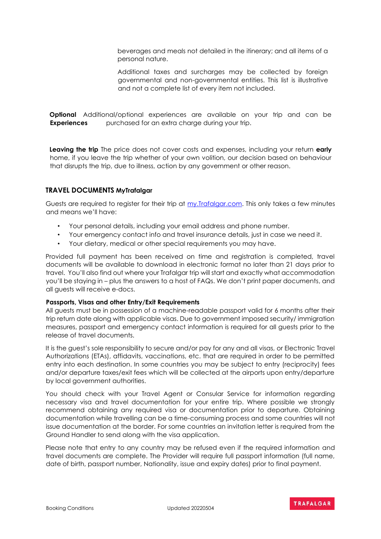beverages and meals not detailed in the itinerary; and all items of a personal nature.

Additional taxes and surcharges may be collected by foreign governmental and non-governmental entities. This list is illustrative and not a complete list of every item not included.

**Optional** Additional/optional experiences are available on your trip and can be **Experiences** purchased for an extra charge during your trip.

**Leaving the trip** The price does not cover costs and expenses, including your return **early**  home, if you leave the trip whether of your own volition, our decision based on behaviour that disrupts the trip, due to illness, action by any government or other reason.

## **TRAVEL DOCUMENTS MyTrafalgar**

Guests are required to register for their trip at [my.Trafalgar.com.](https://my.trafalgar.com/) This only takes a few minutes and means we'll have:

- Your personal details, including your email address and phone number.
- Your emergency contact info and travel insurance details, just in case we need it.
- Your dietary, medical or other special requirements you may have.

Provided full payment has been received on time and registration is completed, travel documents will be available to download in electronic format no later than 21 days prior to travel. You'll also find out where your Trafalgar trip will start and exactly what accommodation you'll be staying in – plus the answers to a host of FAQs. We don't print paper documents, and all guests will receive e-docs.

#### **Passports, Visas and other Entry/Exit Requirements**

All guests must be in possession of a machine-readable passport valid for 6 months after their trip return date along with applicable visas. Due to government imposed security/ immigration measures, passport and emergency contact information is required for all guests prior to the release of travel documents.

It is the guest's sole responsibility to secure and/or pay for any and all visas, or Electronic Travel Authorizations (ETAs), affidavits, vaccinations, etc. that are required in order to be permitted entry into each destination. In some countries you may be subject to entry (reciprocity) fees and/or departure taxes/exit fees which will be collected at the airports upon entry/departure by local government authorities.

You should check with your Travel Agent or Consular Service for information regarding necessary visa and travel documentation for your entire trip. Where possible we strongly recommend obtaining any required visa or documentation prior to departure. Obtaining documentation while travelling can be a time-consuming process and some countries will not issue documentation at the border. For some countries an invitation letter is required from the Ground Handler to send along with the visa application.

Please note that entry to any country may be refused even if the required information and travel documents are complete. The Provider will require full passport information (full name, date of birth, passport number, Nationality, issue and expiry dates) prior to final payment.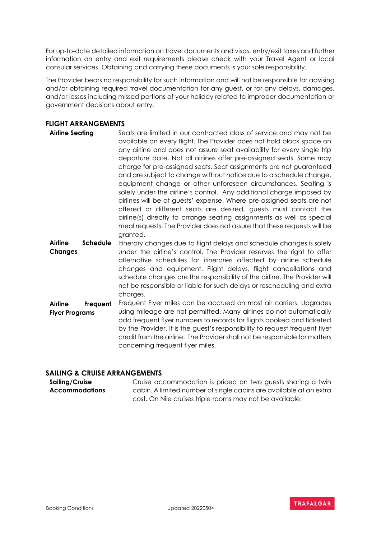For up-to-date detailed information on travel documents and visas, entry/exit taxes and further information on entry and exit requirements please check with your Travel Agent or local consular services. Obtaining and carrying these documents is your sole responsibility.

The Provider bears no responsibility for such information and will not be responsible for advising and/or obtaining required travel documentation for any guest, or for any delays, damages, and/or losses including missed portions of your holiday related to improper documentation or government decisions about entry.

## **FLIGHT ARRANGEMENTS**

| <b>Airline Seating</b>    |                 | Seats are limited in our contracted class of service and may not be<br>available on every flight. The Provider does not hold block space on<br>any airline and does not assure seat availability for every single trip<br>departure date. Not all airlines offer pre-assigned seats. Some may<br>charge for pre-assigned seats. Seat assignments are not guaranteed<br>and are subject to change without notice due to a schedule change,<br>equipment change or other unforeseen circumstances. Seating is<br>solely under the airline's control. Any additional charge imposed by<br>airlines will be at guests' expense. Where pre-assigned seats are not<br>offered or different seats are desired, guests must contact the<br>airline(s) directly to arrange seating assignments as well as special<br>meal requests. The Provider does not assure that these requests will be<br>granted. |  |
|---------------------------|-----------------|-------------------------------------------------------------------------------------------------------------------------------------------------------------------------------------------------------------------------------------------------------------------------------------------------------------------------------------------------------------------------------------------------------------------------------------------------------------------------------------------------------------------------------------------------------------------------------------------------------------------------------------------------------------------------------------------------------------------------------------------------------------------------------------------------------------------------------------------------------------------------------------------------|--|
| Airline<br><b>Changes</b> | <b>Schedule</b> | Itinerary changes due to flight delays and schedule changes is solely<br>under the airline's control. The Provider reserves the right to offer<br>alternative schedules for itineraries affected by airline schedule<br>changes and equipment. Flight delays, flight cancellations and<br>schedule changes are the responsibility of the airline. The Provider will<br>not be responsible or liable for such delays or rescheduling and extra<br>charges.                                                                                                                                                                                                                                                                                                                                                                                                                                       |  |
| Airline                   | Frequent        | Frequent Flyer miles can be accrued on most air carriers. Upgrades                                                                                                                                                                                                                                                                                                                                                                                                                                                                                                                                                                                                                                                                                                                                                                                                                              |  |

using mileage are not permitted. Many airlines do not automatically add frequent flyer numbers to records for flights booked and ticketed by the Provider. It is the guest's responsibility to request frequent flyer credit from the airline. The Provider shall not be responsible for matters concerning frequent flyer miles. **Flyer Programs** 

#### **SAILING & CRUISE ARRANGEMENTS**

**Sailing/Cruise Accommodations** Cruise accommodation is priced on two guests sharing a twin cabin. A limited number of single cabins are available at an extra cost. On Nile cruises triple rooms may not be available.

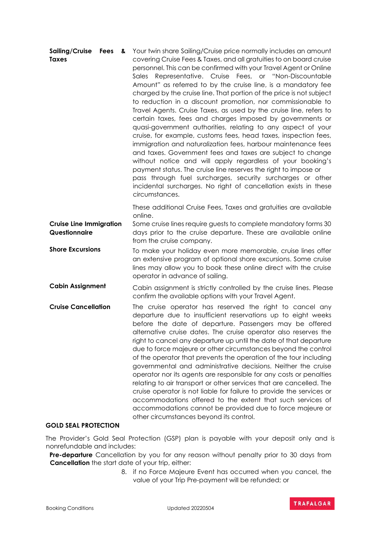| Sailing/Cruise Fees<br>&<br><b>Taxes</b> | Your twin share Sailing/Cruise price normally includes an amount<br>covering Cruise Fees & Taxes, and all gratuities to on board cruise<br>personnel. This can be confirmed with your Travel Agent or Online<br>Sales Representative. Cruise Fees, or "Non-Discountable<br>Amount" as referred to by the cruise line, is a mandatory fee<br>charged by the cruise line. That portion of the price is not subject<br>to reduction in a discount promotion, nor commissionable to<br>Travel Agents. Cruise Taxes, as used by the cruise line, refers to<br>certain taxes, fees and charges imposed by governments or<br>quasi-government authorities, relating to any aspect of your<br>cruise, for example, customs fees, head taxes, inspection fees,<br>immigration and naturalization fees, harbour maintenance fees<br>and taxes. Government fees and taxes are subject to change<br>without notice and will apply regardless of your booking's<br>payment status. The cruise line reserves the right to impose or<br>pass through fuel surcharges, security surcharges or other<br>incidental surcharges. No right of cancellation exists in these<br>circumstances. |
|------------------------------------------|--------------------------------------------------------------------------------------------------------------------------------------------------------------------------------------------------------------------------------------------------------------------------------------------------------------------------------------------------------------------------------------------------------------------------------------------------------------------------------------------------------------------------------------------------------------------------------------------------------------------------------------------------------------------------------------------------------------------------------------------------------------------------------------------------------------------------------------------------------------------------------------------------------------------------------------------------------------------------------------------------------------------------------------------------------------------------------------------------------------------------------------------------------------------------|
| <b>Cruise Line Immigration</b>           | These additional Cruise Fees, Taxes and gratuities are available<br>online.<br>Some cruise lines require guests to complete mandatory forms 30                                                                                                                                                                                                                                                                                                                                                                                                                                                                                                                                                                                                                                                                                                                                                                                                                                                                                                                                                                                                                           |
| Questionnaire                            | days prior to the cruise departure. These are available online<br>from the cruise company.                                                                                                                                                                                                                                                                                                                                                                                                                                                                                                                                                                                                                                                                                                                                                                                                                                                                                                                                                                                                                                                                               |
| <b>Shore Excursions</b>                  | To make your holiday even more memorable, cruise lines offer<br>an extensive program of optional shore excursions. Some cruise<br>lines may allow you to book these online direct with the cruise<br>operator in advance of sailing.                                                                                                                                                                                                                                                                                                                                                                                                                                                                                                                                                                                                                                                                                                                                                                                                                                                                                                                                     |
| <b>Cabin Assignment</b>                  | Cabin assignment is strictly controlled by the cruise lines. Please<br>confirm the available options with your Travel Agent.                                                                                                                                                                                                                                                                                                                                                                                                                                                                                                                                                                                                                                                                                                                                                                                                                                                                                                                                                                                                                                             |
| <b>Cruise Cancellation</b>               | The cruise operator has reserved the right to cancel any<br>departure due to insufficient reservations up to eight weeks<br>before the date of departure. Passengers may be offered<br>alternative cruise dates. The cruise operator also reserves the<br>right to cancel any departure up until the date of that departure<br>due to force majeure or other circumstances beyond the control<br>of the operator that prevents the operation of the tour including<br>governmental and administrative decisions. Neither the cruise<br>operator nor its agents are responsible for any costs or penalties<br>relating to air transport or other services that are cancelled. The<br>cruise operator is not liable for failure to provide the services or<br>accommodations offered to the extent that such services of<br>accommodations cannot be provided due to force majeure or<br>other circumstances beyond its control.                                                                                                                                                                                                                                           |
| <b>GOLD SEAL PROTECTION</b>              |                                                                                                                                                                                                                                                                                                                                                                                                                                                                                                                                                                                                                                                                                                                                                                                                                                                                                                                                                                                                                                                                                                                                                                          |

The Provider's Gold Seal Protection (GSP) plan is payable with your deposit only and is nonrefundable and includes:

**Pre-departure** Cancellation by you for any reason without penalty prior to 30 days from **Cancellation** the start date of your trip, either:

> 8. if no Force Majeure Event has occurred when you cancel, the value of your Trip Pre-payment will be refunded; or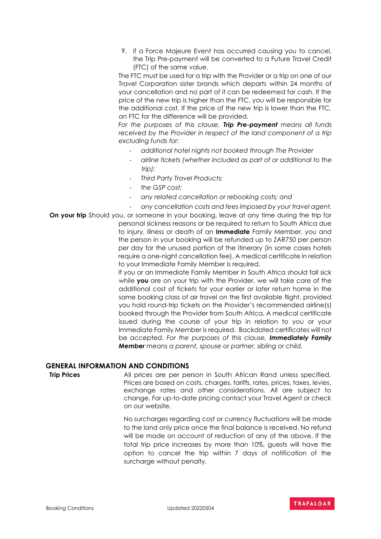9. if a Force Majeure Event has occurred causing you to cancel, the Trip Pre-payment will be converted to a Future Travel Credit (FTC) of the same value.

The FTC must be used for a trip with the Provider or a trip on one of our Travel Corporation sister brands which departs within 24 months of your cancellation and no part of it can be redeemed for cash. If the price of the new trip is higher than the FTC, you will be responsible for the additional cost. If the price of the new trip is lower than the FTC, an FTC for the difference will be provided.

*For the purposes of this clause, Trip Pre-payment means all funds received by the Provider in respect of the land component of a trip excluding funds for:* 

- *additional hotel nights not booked through The Provider*
- *airline tickets (whether included as part of or additional to the trip);*
- *Third Party Travel Products;*
- *the GSP cost;*
- *any related cancellation or rebooking costs; and*
- *any cancellation costs and fees imposed by your travel agent.*

**On your trip** Should you, or someone in your booking, leave at any time during the trip for personal sickness reasons or be required to return to South Africa due to injury, illness or death of an **Immediate** Family Member, you and the person in your booking will be refunded up to ZAR750 per person per day for the unused portion of the itinerary (in some cases hotels require a one-night cancellation fee). A medical certificate in relation to your Immediate Family Member is required.

> If you or an Immediate Family Member in South Africa should fall sick while **you** are on your trip with the Provider, we will take care of the additional cost of tickets for your earlier or later return home in the same booking class of air travel on the first available flight, provided you hold round-trip tickets on the Provider's recommended airline(s) booked through the Provider from South Africa. A medical certificate issued during the course of your trip in relation to you or your Immediate Family Member is required. Backdated certificates will not be accepted. *For the purposes of this clause, Immediately Family Member means a parent, spouse or partner, sibling or child.*

## **GENERAL INFORMATION AND CONDITIONS**

**Trip Prices** All prices are per person in South African Rand unless specified. Prices are based on costs, charges, tariffs, rates, prices, taxes, levies, exchange rates and other considerations. All are subject to change. For up-to-date pricing contact your Travel Agent or check on our website.

> No surcharges regarding cost or currency fluctuations will be made to the land only price once the final balance is received. No refund will be made on account of reduction of any of the above. If the total trip price increases by more than 10%, guests will have the option to cancel the trip within 7 days of notification of the surcharge without penalty.

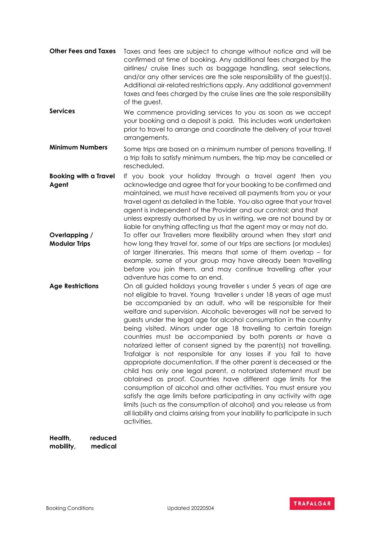| <b>Other Fees and Taxes</b>           | Taxes and fees are subject to change without notice and will be<br>confirmed at time of booking. Any additional fees charged by the<br>airlines/ cruise lines such as baggage handling, seat selections,<br>and/or any other services are the sole responsibility of the guest(s).<br>Additional air-related restrictions apply. Any additional government<br>taxes and fees charged by the cruise lines are the sole responsibility<br>of the guest.                                                                                                                                                                                                                                                                                                                                                                                                                                                                                                                                                                                                                                                                                                    |
|---------------------------------------|----------------------------------------------------------------------------------------------------------------------------------------------------------------------------------------------------------------------------------------------------------------------------------------------------------------------------------------------------------------------------------------------------------------------------------------------------------------------------------------------------------------------------------------------------------------------------------------------------------------------------------------------------------------------------------------------------------------------------------------------------------------------------------------------------------------------------------------------------------------------------------------------------------------------------------------------------------------------------------------------------------------------------------------------------------------------------------------------------------------------------------------------------------|
| <b>Services</b>                       | We commence providing services to you as soon as we accept<br>your booking and a deposit is paid. This includes work undertaken<br>prior to travel to arrange and coordinate the delivery of your travel<br>arrangements.                                                                                                                                                                                                                                                                                                                                                                                                                                                                                                                                                                                                                                                                                                                                                                                                                                                                                                                                |
| <b>Minimum Numbers</b>                | Some trips are based on a minimum number of persons travelling. If<br>a trip fails to satisfy minimum numbers, the trip may be cancelled or<br>rescheduled.                                                                                                                                                                                                                                                                                                                                                                                                                                                                                                                                                                                                                                                                                                                                                                                                                                                                                                                                                                                              |
| <b>Booking with a Travel</b><br>Agent | If you book your holiday through a travel agent then you<br>acknowledge and agree that for your booking to be confirmed and<br>maintained, we must have received all payments from you or your<br>travel agent as detailed in the Table. You also agree that your travel<br>agent is independent of the Provider and our control; and that<br>unless expressly authorised by us in writing, we are not bound by or<br>liable for anything affecting us that the agent may or may not do.                                                                                                                                                                                                                                                                                                                                                                                                                                                                                                                                                                                                                                                                 |
| Overlapping /<br><b>Modular Trips</b> | To offer our Travellers more flexibility around when they start and<br>how long they travel for, some of our trips are sections (or modules)<br>of larger itineraries. This means that some of them overlap – for<br>example, some of your group may have already been travelling<br>before you join them, and may continue travelling after your<br>adventure has come to an end.                                                                                                                                                                                                                                                                                                                                                                                                                                                                                                                                                                                                                                                                                                                                                                       |
| <b>Age Restrictions</b>               | On all guided holidays young traveller s under 5 years of age are<br>not eligible to travel. Young traveller s under 18 years of age must<br>be accompanied by an adult, who will be responsible for their<br>welfare and supervision. Alcoholic beverages will not be served to<br>guests under the legal age for alcohol consumption in the country<br>being visited. Minors under age 18 travelling to certain foreign<br>countries must be accompanied by both parents or have a<br>notarized letter of consent signed by the parent(s) not travelling.<br>Trafalgar is not responsible for any losses if you fail to have<br>appropriate documentation. If the other parent is deceased or the<br>child has only one legal parent, a notarized statement must be<br>obtained as proof. Countries have different age limits for the<br>consumption of alcohol and other activities. You must ensure you<br>satisfy the age limits before participating in any activity with age<br>limits (such as the consumption of alcohol) and you release us from<br>all liability and claims arising from your inability to participate in such<br>activities. |
| reduced<br>Health,                    |                                                                                                                                                                                                                                                                                                                                                                                                                                                                                                                                                                                                                                                                                                                                                                                                                                                                                                                                                                                                                                                                                                                                                          |

**mobility, medical** 

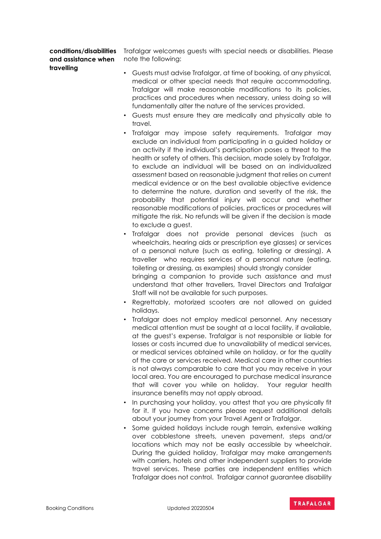## **conditions/disabilities and assistance when travelling**

Trafalgar welcomes guests with special needs or disabilities. Please note the following:

- Guests must advise Trafalgar, at time of booking, of any physical, medical or other special needs that require accommodating. Trafalgar will make reasonable modifications to its policies, practices and procedures when necessary, unless doing so will fundamentally alter the nature of the services provided.
- Guests must ensure they are medically and physically able to travel.
- Trafalgar may impose safety requirements. Trafalgar may exclude an individual from participating in a guided holiday or an activity if the individual's participation poses a threat to the health or safety of others. This decision, made solely by Trafalgar, to exclude an individual will be based on an individualized assessment based on reasonable judgment that relies on current medical evidence or on the best available objective evidence to determine the nature, duration and severity of the risk, the probability that potential injury will occur and whether reasonable modifications of policies, practices or procedures will mitigate the risk. No refunds will be given if the decision is made to exclude a guest.
- Trafalgar does not provide personal devices (such as wheelchairs, hearing aids or prescription eye glasses) or services of a personal nature (such as eating, toileting or dressing). A traveller who requires services of a personal nature (eating, toileting or dressing, as examples) should strongly consider bringing a companion to provide such assistance and must

understand that other travellers, Travel Directors and Trafalgar Staff will not be available for such purposes.

- Regrettably, motorized scooters are not allowed on guided holidays.
- Trafalgar does not employ medical personnel. Any necessary medical attention must be sought at a local facility, if available, at the guest's expense. Trafalgar is not responsible or liable for losses or costs incurred due to unavailability of medical services, or medical services obtained while on holiday, or for the quality of the care or services received. Medical care in other countries is not always comparable to care that you may receive in your local area. You are encouraged to purchase medical insurance that will cover you while on holiday. Your regular health insurance benefits may not apply abroad.
- In purchasing your holiday, you attest that you are physically fit for it. If you have concerns please request additional details about your journey from your Travel Agent or Trafalgar.
- Some guided holidays include rough terrain, extensive walking over cobblestone streets, uneven pavement, steps and/or locations which may not be easily accessible by wheelchair. During the guided holiday, Trafalgar may make arrangements with carriers, hotels and other independent suppliers to provide travel services. These parties are independent entities which Trafalgar does not control. Trafalgar cannot guarantee disability

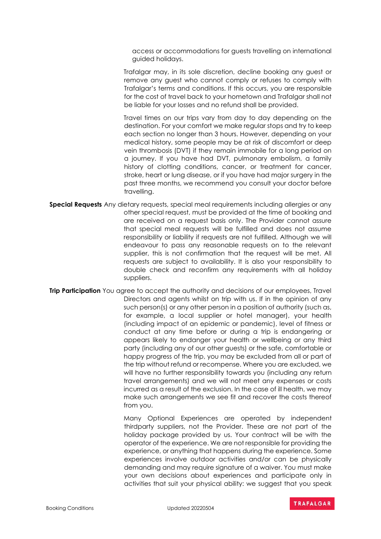access or accommodations for guests travelling on international guided holidays.

Trafalgar may, in its sole discretion, decline booking any guest or remove any guest who cannot comply or refuses to comply with Trafalgar's terms and conditions. If this occurs, you are responsible for the cost of travel back to your hometown and Trafalgar shall not be liable for your losses and no refund shall be provided.

Travel times on our trips vary from day to day depending on the destination. For your comfort we make regular stops and try to keep each section no longer than 3 hours. However, depending on your medical history, some people may be at risk of discomfort or deep vein thrombosis (DVT) if they remain immobile for a long period on a journey. If you have had DVT, pulmonary embolism, a family history of clotting conditions, cancer, or treatment for cancer, stroke, heart or lung disease, or if you have had major surgery in the past three months, we recommend you consult your doctor before travelling.

- **Special Requests** Any dietary requests, special meal requirements including allergies or any other special request, must be provided at the time of booking and are received on a request basis only. The Provider cannot assure that special meal requests will be fulfilled and does not assume responsibility or liability if requests are not fulfilled. Although we will endeavour to pass any reasonable requests on to the relevant supplier, this is not confirmation that the request will be met. All requests are subject to availability. It is also your responsibility to double check and reconfirm any requirements with all holiday suppliers.
- **Trip Participation** You agree to accept the authority and decisions of our employees, Travel Directors and agents whilst on trip with us. If in the opinion of any such person(s) or any other person in a position of authority (such as, for example, a local supplier or hotel manager), your health (including impact of an epidemic or pandemic), level of fitness or conduct at any time before or during a trip is endangering or appears likely to endanger your health or wellbeing or any third party (including any of our other guests) or the safe, comfortable or happy progress of the trip, you may be excluded from all or part of the trip without refund or recompense. Where you are excluded, we will have no further responsibility towards you (including any return travel arrangements) and we will not meet any expenses or costs incurred as a result of the exclusion. In the case of ill health, we may make such arrangements we see fit and recover the costs thereof from you.

Many Optional Experiences are operated by independent thirdparty suppliers, not the Provider. These are not part of the holiday package provided by us. Your contract will be with the operator of the experience. We are not responsible for providing the experience, or anything that happens during the experience. Some experiences involve outdoor activities and/or can be physically demanding and may require signature of a waiver. You must make your own decisions about experiences and participate only in activities that suit your physical ability: we suggest that you speak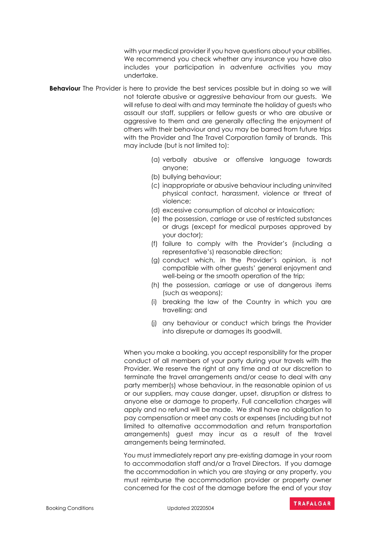with your medical provider if you have questions about your abilities. We recommend you check whether any insurance you have also includes your participation in adventure activities you may undertake.

- **Behaviour** The Provider is here to provide the best services possible but in doing so we will not tolerate abusive or aggressive behaviour from our guests. We will refuse to deal with and may terminate the holiday of guests who assault our staff, suppliers or fellow guests or who are abusive or aggressive to them and are generally affecting the enjoyment of others with their behaviour and you may be barred from future trips with the Provider and The Travel Corporation family of brands. This may include (but is not limited to):
	- (a) verbally abusive or offensive language towards anyone;
	- (b) bullying behaviour;
	- (c) inappropriate or abusive behaviour including uninvited physical contact, harassment, violence or threat of violence;
	- (d) excessive consumption of alcohol or intoxication;
	- (e) the possession, carriage or use of restricted substances or drugs (except for medical purposes approved by your doctor);
	- (f) failure to comply with the Provider's (including a representative's) reasonable direction;
	- (g) conduct which, in the Provider's opinion, is not compatible with other guests' general enjoyment and well-being or the smooth operation of the trip;
	- (h) the possession, carriage or use of dangerous items (such as weapons);
	- (i) breaking the law of the Country in which you are travelling; and
	- (j) any behaviour or conduct which brings the Provider into disrepute or damages its goodwill.

When you make a booking, you accept responsibility for the proper conduct of all members of your party during your travels with the Provider. We reserve the right at any time and at our discretion to terminate the travel arrangements and/or cease to deal with any party member(s) whose behaviour, in the reasonable opinion of us or our suppliers, may cause danger, upset, disruption or distress to anyone else or damage to property. Full cancellation charges will apply and no refund will be made. We shall have no obligation to pay compensation or meet any costs or expenses (including but not limited to alternative accommodation and return transportation arrangements) guest may incur as a result of the travel arrangements being terminated.

You must immediately report any pre-existing damage in your room to accommodation staff and/or a Travel Directors. If you damage the accommodation in which you are staying or any property, you must reimburse the accommodation provider or property owner concerned for the cost of the damage before the end of your stay

## **TRAFALGAR**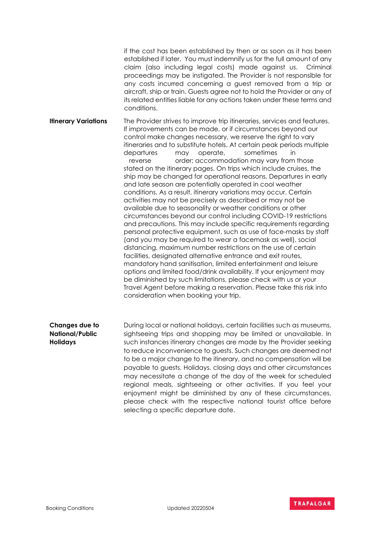if the cost has been established by then or as soon as it has been established if later. You must indemnify us for the full amount of any claim (also including legal costs) made against us. Criminal proceedings may be instigated. The Provider is not responsible for any costs incurred concerning a guest removed from a trip or aircraft, ship or train. Guests agree not to hold the Provider or any of its related entities liable for any actions taken under these terms and conditions.

**Itinerary Variations** The Provider strives to improve trip itineraries, services and features. If improvements can be made, or if circumstances beyond our control make changes necessary, we reserve the right to vary itineraries and to substitute hotels. At certain peak periods multiple departures may operate, sometimes in reverse order; accommodation may vary from those stated on the itinerary pages. On trips which include cruises, the ship may be changed for operational reasons. Departures in early and late season are potentially operated in cool weather conditions. As a result, itinerary variations may occur. Certain activities may not be precisely as described or may not be available due to seasonality or weather conditions or other circumstances beyond our control including COVID-19 restrictions and precautions. This may include specific requirements regarding personal protective equipment, such as use of face-masks by staff (and you may be required to wear a facemask as well), social distancing, maximum number restrictions on the use of certain facilities, designated alternative entrance and exit routes, mandatory hand sanitisation, limited entertainment and leisure options and limited food/drink availability. If your enjoyment may be diminished by such limitations, please check with us or your Travel Agent before making a reservation. Please take this risk into consideration when booking your trip.

# **Changes due to National/Public Holidays**

During local or national holidays, certain facilities such as museums, sightseeing trips and shopping may be limited or unavailable. In such instances itinerary changes are made by the Provider seeking to reduce inconvenience to guests. Such changes are deemed not to be a major change to the itinerary, and no compensation will be payable to guests. Holidays, closing days and other circumstances may necessitate a change of the day of the week for scheduled regional meals, sightseeing or other activities. If you feel your enjoyment might be diminished by any of these circumstances, please check with the respective national tourist office before selecting a specific departure date.

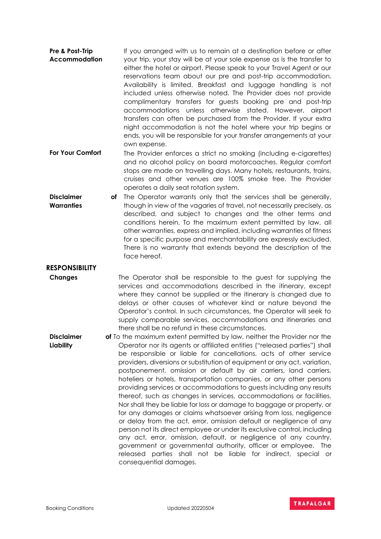- **Pre & Post-Trip Accommodation**  If you arranged with us to remain at a destination before or after your trip, your stay will be at your sole expense as is the transfer to either the hotel or airport. Please speak to your Travel Agent or our reservations team about our pre and post-trip accommodation. Availability is limited. Breakfast and luggage handling is not included unless otherwise noted. The Provider does not provide complimentary transfers for guests booking pre and post-trip accommodations unless otherwise stated. However, airport transfers can often be purchased from the Provider. If your extra night accommodation is not the hotel where your trip begins or ends, you will be responsible for your transfer arrangements at your own expense.
- **For Your Comfort** The Provider enforces a strict no smoking (including e-cigarettes) and no alcohol policy on board motorcoaches. Regular comfort stops are made on travelling days. Many hotels, restaurants, trains, cruises and other venues are 100% smoke free. The Provider operates a daily seat rotation system.
- **Disclaimer Warranties of** The Operator warrants only that the services shall be generally, though in view of the vagaries of travel, not necessarily precisely, as described, and subject to changes and the other terms and conditions herein. To the maximum extent permitted by law, all other warranties, express and implied, including warranties of fitness for a specific purpose and merchantability are expressly excluded. There is no warranty that extends beyond the description of the face hereof.

#### **RESPONSIBILITY**

**Changes** The Operator shall be responsible to the guest for supplying the services and accommodations described in the itinerary, except where they cannot be supplied or the itinerary is changed due to delays or other causes of whatever kind or nature beyond the Operator's control. In such circumstances, the Operator will seek to supply comparable services, accommodations and itineraries and there shall be no refund in these circumstances.

**Disclaimer Liability of** To the maximum extent permitted by law, neither the Provider nor the Operator nor its agents or affiliated entities ("released parties") shall be responsible or liable for cancellations, acts of other service providers, diversions or substitution of equipment or any act, variation, postponement, omission or default by air carriers, land carriers, hoteliers or hotels, transportation companies, or any other persons providing services or accommodations to guests including any results thereof, such as changes in services, accommodations or facilities. Nor shall they be liable for loss or damage to baggage or property, or for any damages or claims whatsoever arising from loss, negligence or delay from the act, error, omission default or negligence of any person not its direct employee or under its exclusive control, including any act, error, omission, default, or negligence of any country, government or governmental authority, officer or employee. The released parties shall not be liable for indirect, special or consequential damages.

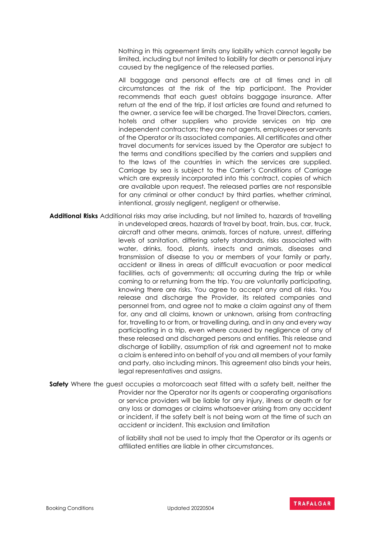Nothing in this agreement limits any liability which cannot legally be limited, including but not limited to liability for death or personal injury caused by the negligence of the released parties.

All baggage and personal effects are at all times and in all circumstances at the risk of the trip participant. The Provider recommends that each guest obtains baggage insurance. After return at the end of the trip, if lost articles are found and returned to the owner, a service fee will be charged. The Travel Directors, carriers, hotels and other suppliers who provide services on trip are independent contractors; they are not agents, employees or servants of the Operator or its associated companies. All certificates and other travel documents for services issued by the Operator are subject to the terms and conditions specified by the carriers and suppliers and to the laws of the countries in which the services are supplied. Carriage by sea is subject to the Carrier's Conditions of Carriage which are expressly incorporated into this contract, copies of which are available upon request. The released parties are not responsible for any criminal or other conduct by third parties, whether criminal, intentional, grossly negligent, negligent or otherwise.

- **Additional Risks** Additional risks may arise including, but not limited to, hazards of travelling in undeveloped areas, hazards of travel by boat, train, bus, car, truck, aircraft and other means, animals, forces of nature, unrest, differing levels of sanitation, differing safety standards, risks associated with water, drinks, food, plants, insects and animals, diseases and transmission of disease to you or members of your family or party, accident or illness in areas of difficult evacuation or poor medical facilities, acts of governments; all occurring during the trip or while coming to or returning from the trip. You are voluntarily participating, knowing there are risks. You agree to accept any and all risks. You release and discharge the Provider, its related companies and personnel from, and agree not to make a claim against any of them for, any and all claims, known or unknown, arising from contracting for, travelling to or from, or travelling during, and in any and every way participating in a trip, even where caused by negligence of any of these released and discharged persons and entities. This release and discharge of liability, assumption of risk and agreement not to make a claim is entered into on behalf of you and all members of your family and party, also including minors. This agreement also binds your heirs, legal representatives and assigns.
- **Safety** Where the guest occupies a motorcoach seat fitted with a safety belt, neither the Provider nor the Operator nor its agents or cooperating organisations or service providers will be liable for any injury, illness or death or for any loss or damages or claims whatsoever arising from any accident or incident, if the safety belt is not being worn at the time of such an accident or incident. This exclusion and limitation

of liability shall not be used to imply that the Operator or its agents or affiliated entities are liable in other circumstances.

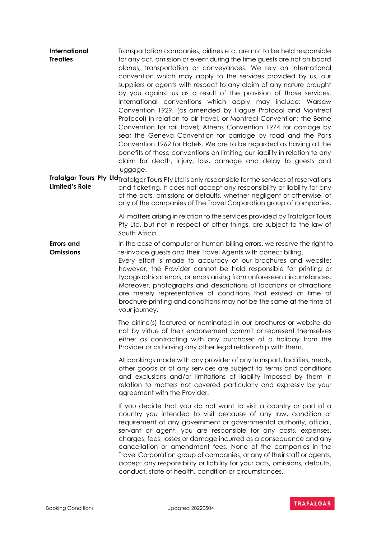| <b>International</b><br><b>Treaties</b> | Transportation companies, airlines etc. are not to be held responsible<br>for any act, omission or event during the time guests are not on board<br>planes, transportation or conveyances. We rely on international<br>convention which may apply to the services provided by us, our<br>suppliers or agents with respect to any claim of any nature brought<br>by you against us as a result of the provision of those services.<br>International conventions which apply may include: Warsaw<br>Convention 1929, (as amended by Hague Protocol and Montreal<br>Protocol) in relation to air travel, or Montreal Convention; the Berne<br>Convention for rail travel; Athens Convention 1974 for carriage by<br>sea; the Geneva Convention for carriage by road and the Paris<br>Convention 1962 for Hotels. We are to be regarded as having all the<br>benefits of these conventions on limiting our liability in relation to any<br>claim for death, injury, loss, damage and delay to guests and<br>luggage. |
|-----------------------------------------|------------------------------------------------------------------------------------------------------------------------------------------------------------------------------------------------------------------------------------------------------------------------------------------------------------------------------------------------------------------------------------------------------------------------------------------------------------------------------------------------------------------------------------------------------------------------------------------------------------------------------------------------------------------------------------------------------------------------------------------------------------------------------------------------------------------------------------------------------------------------------------------------------------------------------------------------------------------------------------------------------------------|
| <b>Limited's Role</b>                   | Trafalgar Tours Pty Ltd <sub>Trafalgar</sub> Tours Pty Ltd is only responsible for the services of reservations<br>and ticketing. It does not accept any responsibility or liability for any<br>of the acts, omissions or defaults, whether negligent or otherwise, of<br>any of the companies of The Travel Corporation group of companies.                                                                                                                                                                                                                                                                                                                                                                                                                                                                                                                                                                                                                                                                     |
|                                         | All matters arising in relation to the services provided by Trafalgar Tours<br>Pty Ltd, but not in respect of other things, are subject to the law of<br>South Africa.                                                                                                                                                                                                                                                                                                                                                                                                                                                                                                                                                                                                                                                                                                                                                                                                                                           |
| <b>Errors</b> and<br><b>Omissions</b>   | In the case of computer or human billing errors, we reserve the right to<br>re-invoice guests and their Travel Agents with correct billing.<br>Every effort is made to accuracy of our brochures and website;<br>however, the Provider cannot be held responsible for printing or<br>typographical errors, or errors arising from unforeseen circumstances.<br>Moreover, photographs and descriptions of locations or attractions<br>are merely representative of conditions that existed at time of<br>brochure printing and conditions may not be the same at the time of<br>your journey.                                                                                                                                                                                                                                                                                                                                                                                                                     |
|                                         | The airline(s) featured or nominated in our brochures or website do<br>not by virtue of their endorsement commit or represent themselves<br>either as contracting with any purchaser of a holiday from the<br>Provider or as having any other legal relationship with them.                                                                                                                                                                                                                                                                                                                                                                                                                                                                                                                                                                                                                                                                                                                                      |
|                                         | All bookings made with any provider of any transport, facilities, meals,<br>other goods or of any services are subject to terms and conditions<br>and exclusions and/or limitations of liability imposed by them in<br>relation to matters not covered particularly and expressly by your<br>agreement with the Provider.                                                                                                                                                                                                                                                                                                                                                                                                                                                                                                                                                                                                                                                                                        |
|                                         | If you decide that you do not want to visit a country or part of a<br>country you intended to visit because of any law, condition or<br>requirement of any government or governmental authority, official,<br>servant or agent, you are responsible for any costs, expenses,<br>charges, fees, losses or damage incurred as a consequence and any<br>cancellation or amendment fees. None of the companies in the<br>Travel Corporation group of companies, or any of their staff or agents,<br>accept any responsibility or liability for your acts, omissions, defaults,<br>conduct, state of health, condition or circumstances.                                                                                                                                                                                                                                                                                                                                                                              |

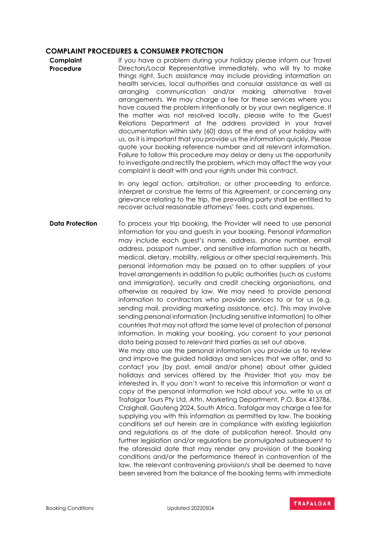#### **COMPLAINT PROCEDURES & CONSUMER PROTECTION**

**Complaint Procedure** If you have a problem during your holiday please inform our Travel Directors/Local Representative immediately, who will try to make things right. Such assistance may include providing information on health services, local authorities and consular assistance as well as arranging communication and/or making alternative travel arrangements. We may charge a fee for these services where you have caused the problem intentionally or by your own negligence. If the matter was not resolved locally, please write to the Guest Relations Department at the address provided in your travel documentation within sixty (60) days of the end of your holiday with us, as it is important that you provide us the information quickly. Please quote your booking reference number and all relevant information. Failure to follow this procedure may delay or deny us the opportunity to investigate and rectify the problem, which may affect the way your complaint is dealt with and your rights under this contract.

> In any legal action, arbitration, or other proceeding to enforce, interpret or construe the terms of this Agreement, or concerning any grievance relating to the trip, the prevailing party shall be entitled to recover actual reasonable attorneys' fees, costs and expenses.

**Data Protection To process your trip booking, the Provider will need to use personal** information for you and guests in your booking. Personal information may include each guest's name, address, phone number, email address, passport number, and sensitive information such as health, medical, dietary, mobility, religious or other special requirements. This personal information may be passed on to other suppliers of your travel arrangements in addition to public authorities (such as customs and immigration), security and credit checking organisations, and otherwise as required by law. We may need to provide personal information to contractors who provide services to or for us (e.g. sending mail, providing marketing assistance, etc). This may involve sending personal information (including sensitive information) to other countries that may not afford the same level of protection of personal information. In making your booking, you consent to your personal data being passed to relevant third parties as set out above.

We may also use the personal information you provide us to review and improve the guided holidays and services that we offer, and to contact you (by post, email and/or phone) about other guided holidays and services offered by the Provider that you may be interested in. If you don't want to receive this information or want a copy of the personal information we hold about you, write to us at Trafalgar Tours Pty Ltd, Attn. Marketing Department, P.O. Box 413786, Craighall, Gauteng 2024, South Africa. Trafalgar may charge a fee for supplying you with this information as permitted by law. The booking conditions set out herein are in compliance with existing legislation and regulations as at the date of publication hereof. Should any further legislation and/or regulations be promulgated subsequent to the aforesaid date that may render any provision of the booking conditions and/or the performance thereof in contravention of the law, the relevant contravening provision/s shall be deemed to have been severed from the balance of the booking terms with immediate